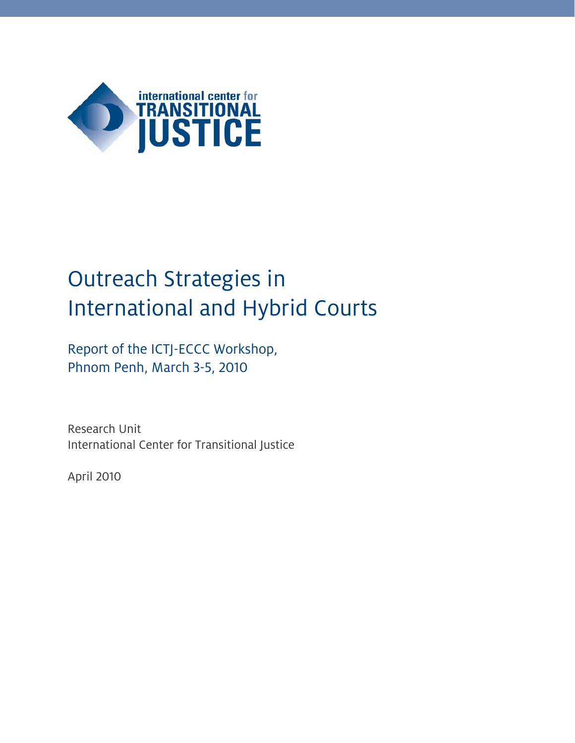

# Outreach Strategies in International and Hybrid Courts

Report of the ICTJ-ECCC Workshop, Phnom Penh, March 3-5, 2010

Research Unit International Center for Transitional Justice

April 2010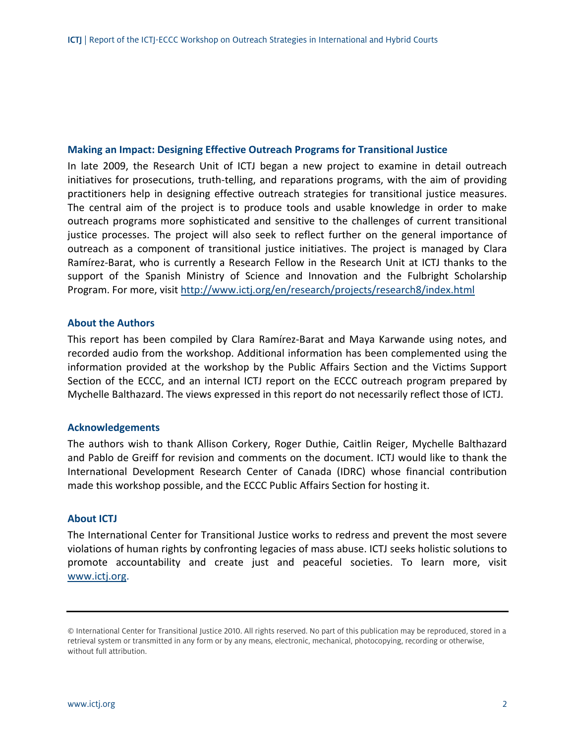#### **Making an Impact: Designing Effective Outreach Programs for Transitional Justice**

In late 2009, the Research Unit of ICTJ began a new project to examine in detail outreach initiatives for prosecutions, truth‐telling, and reparations programs, with the aim of providing practitioners help in designing effective outreach strategies for transitional justice measures. The central aim of the project is to produce tools and usable knowledge in order to make outreach programs more sophisticated and sensitive to the challenges of current transitional justice processes. The project will also seek to reflect further on the general importance of outreach as a component of transitional justice initiatives. The project is managed by Clara Ramírez‐Barat, who is currently a Research Fellow in the Research Unit at ICTJ thanks to the support of the Spanish Ministry of Science and Innovation and the Fulbright Scholarship Program. For more, visit http://www.ictj.org/en/research/projects/research8/index.html

#### **About the Authors**

This report has been compiled by Clara Ramírez‐Barat and Maya Karwande using notes, and recorded audio from the workshop. Additional information has been complemented using the information provided at the workshop by the Public Affairs Section and the Victims Support Section of the ECCC, and an internal ICTJ report on the ECCC outreach program prepared by Mychelle Balthazard. The views expressed in this report do not necessarily reflect those of ICTJ.

#### **Acknowledgements**

The authors wish to thank Allison Corkery, Roger Duthie, Caitlin Reiger, Mychelle Balthazard and Pablo de Greiff for revision and comments on the document. ICTJ would like to thank the International Development Research Center of Canada (IDRC) whose financial contribution made this workshop possible, and the ECCC Public Affairs Section for hosting it.

#### **About ICTJ**

The International Center for Transitional Justice works to redress and prevent the most severe violations of human rights by confronting legacies of mass abuse. ICTJ seeks holistic solutions to promote accountability and create just and peaceful societies. To learn more, visit www.ictj.org.

<sup>©</sup> International Center for Transitional Justice 2010. All rights reserved. No part of this publication may be reproduced, stored in a retrieval system or transmitted in any form or by any means, electronic, mechanical, photocopying, recording or otherwise, without full attribution.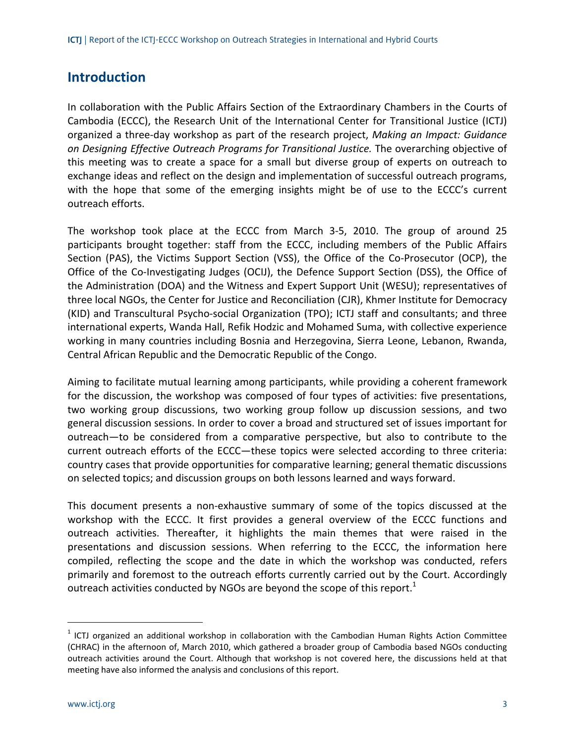# **Introduction**

In collaboration with the Public Affairs Section of the Extraordinary Chambers in the Courts of Cambodia (ECCC), the Research Unit of the International Center for Transitional Justice (ICTJ) organized a three‐day workshop as part of the research project, *Making an Impact: Guidance on Designing Effective Outreach Programs for Transitional Justice.* The overarching objective of this meeting was to create a space for a small but diverse group of experts on outreach to exchange ideas and reflect on the design and implementation of successful outreach programs, with the hope that some of the emerging insights might be of use to the ECCC's current outreach efforts.

The workshop took place at the ECCC from March 3‐5, 2010. The group of around 25 participants brought together: staff from the ECCC, including members of the Public Affairs Section (PAS), the Victims Support Section (VSS), the Office of the Co-Prosecutor (OCP), the Office of the Co‐Investigating Judges (OCIJ), the Defence Support Section (DSS), the Office of the Administration (DOA) and the Witness and Expert Support Unit (WESU); representatives of three local NGOs, the Center for Justice and Reconciliation (CJR), Khmer Institute for Democracy (KID) and Transcultural Psycho‐social Organization (TPO); ICTJ staff and consultants; and three international experts, Wanda Hall, Refik Hodzic and Mohamed Suma, with collective experience working in many countries including Bosnia and Herzegovina, Sierra Leone, Lebanon, Rwanda, Central African Republic and the Democratic Republic of the Congo.

Aiming to facilitate mutual learning among participants, while providing a coherent framework for the discussion, the workshop was composed of four types of activities: five presentations, two working group discussions, two working group follow up discussion sessions, and two general discussion sessions. In order to cover a broad and structured set of issues important for outreach—to be considered from a comparative perspective, but also to contribute to the current outreach efforts of the ECCC—these topics were selected according to three criteria: country cases that provide opportunities for comparative learning; general thematic discussions on selected topics; and discussion groups on both lessons learned and ways forward.

This document presents a non‐exhaustive summary of some of the topics discussed at the workshop with the ECCC. It first provides a general overview of the ECCC functions and outreach activities. Thereafter, it highlights the main themes that were raised in the presentations and discussion sessions. When referring to the ECCC, the information here compiled, reflecting the scope and the date in which the workshop was conducted, refers primarily and foremost to the outreach efforts currently carried out by the Court. Accordingly outreach activities conducted by NGOs are beyond the scope of this report. $<sup>1</sup>$ </sup>

 $<sup>1</sup>$  ICTJ organized an additional workshop in collaboration with the Cambodian Human Rights Action Committee</sup> (CHRAC) in the afternoon of, March 2010, which gathered a broader group of Cambodia based NGOs conducting outreach activities around the Court. Although that workshop is not covered here, the discussions held at that meeting have also informed the analysis and conclusions of this report.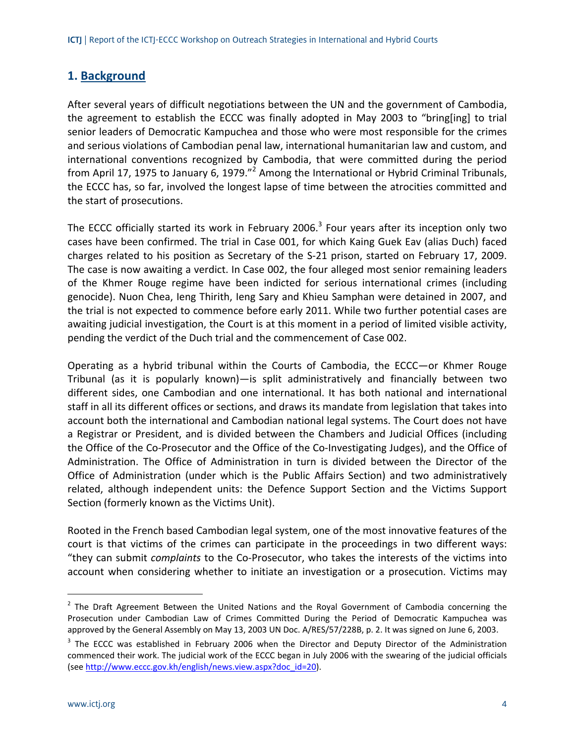# **1. Background**

After several years of difficult negotiations between the UN and the government of Cambodia, the agreement to establish the ECCC was finally adopted in May 2003 to "bring[ing] to trial senior leaders of Democratic Kampuchea and those who were most responsible for the crimes and serious violations of Cambodian penal law, international humanitarian law and custom, and international conventions recognized by Cambodia, that were committed during the period from April 17, 1975 to January 6, 1979."<sup>2</sup> Among the International or Hybrid Criminal Tribunals, the ECCC has, so far, involved the longest lapse of time between the atrocities committed and the start of prosecutions.

The ECCC officially started its work in February 2006.<sup>3</sup> Four years after its inception only two cases have been confirmed. The trial in Case 001, for which Kaing Guek Eav (alias Duch) faced charges related to his position as Secretary of the S‐21 prison, started on February 17, 2009. The case is now awaiting a verdict. In Case 002, the four alleged most senior remaining leaders of the Khmer Rouge regime have been indicted for serious international crimes (including genocide). Nuon Chea, Ieng Thirith, Ieng Sary and Khieu Samphan were detained in 2007, and the trial is not expected to commence before early 2011. While two further potential cases are awaiting judicial investigation, the Court is at this moment in a period of limited visible activity, pending the verdict of the Duch trial and the commencement of Case 002.

Operating as a hybrid tribunal within the Courts of Cambodia, the ECCC—or Khmer Rouge Tribunal (as it is popularly known)—is split administratively and financially between two different sides, one Cambodian and one international. It has both national and international staff in all its different offices or sections, and draws its mandate from legislation that takes into account both the international and Cambodian national legal systems. The Court does not have a Registrar or President, and is divided between the Chambers and Judicial Offices (including the Office of the Co‐Prosecutor and the Office of the Co‐Investigating Judges), and the Office of Administration. The Office of Administration in turn is divided between the Director of the Office of Administration (under which is the Public Affairs Section) and two administratively related, although independent units: the Defence Support Section and the Victims Support Section (formerly known as the Victims Unit).

Rooted in the French based Cambodian legal system, one of the most innovative features of the court is that victims of the crimes can participate in the proceedings in two different ways: "they can submit *complaints* to the Co‐Prosecutor, who takes the interests of the victims into account when considering whether to initiate an investigation or a prosecution. Victims may

-

 $2$  The Draft Agreement Between the United Nations and the Royal Government of Cambodia concerning the Prosecution under Cambodian Law of Crimes Committed During the Period of Democratic Kampuchea was approved by the General Assembly on May 13, 2003 UN Doc. A/RES/57/228B, p. 2. It was signed on June 6, 2003.

<sup>&</sup>lt;sup>3</sup> The ECCC was established in February 2006 when the Director and Deputy Director of the Administration commenced their work. The judicial work of the ECCC began in July 2006 with the swearing of the judicial officials (see http://www.eccc.gov.kh/english/news.view.aspx?doc\_id=20).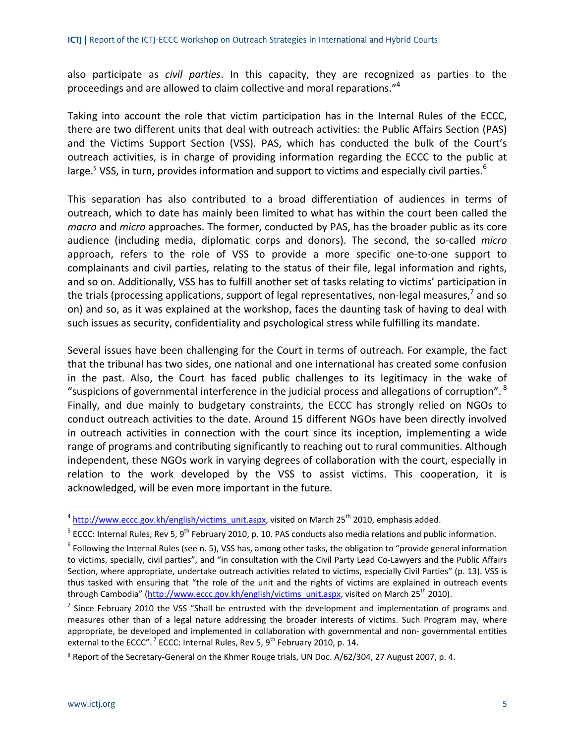also participate as *civil parties*. In this capacity, they are recognized as parties to the proceedings and are allowed to claim collective and moral reparations."<sup>4</sup>

Taking into account the role that victim participation has in the Internal Rules of the ECCC, there are two different units that deal with outreach activities: the Public Affairs Section (PAS) and the Victims Support Section (VSS). PAS, which has conducted the bulk of the Court's outreach activities, is in charge of providing information regarding the ECCC to the public at large.<sup>5</sup> VSS, in turn, provides information and support to victims and especially civil parties.<sup>6</sup>

This separation has also contributed to a broad differentiation of audiences in terms of outreach, which to date has mainly been limited to what has within the court been called the *macro* and *micro* approaches. The former, conducted by PAS, has the broader public as its core audience (including media, diplomatic corps and donors). The second, the so‐called *micro* approach, refers to the role of VSS to provide a more specific one‐to‐one support to complainants and civil parties, relating to the status of their file, legal information and rights, and so on. Additionally, VSS has to fulfill another set of tasks relating to victims' participation in the trials (processing applications, support of legal representatives, non-legal measures,<sup>7</sup> and so on) and so, as it was explained at the workshop, faces the daunting task of having to deal with such issues as security, confidentiality and psychological stress while fulfilling its mandate.

Several issues have been challenging for the Court in terms of outreach. For example, the fact that the tribunal has two sides, one national and one international has created some confusion in the past. Also, the Court has faced public challenges to its legitimacy in the wake of "suspicions of governmental interference in the judicial process and allegations of corruption".  $8$ Finally, and due mainly to budgetary constraints, the ECCC has strongly relied on NGOs to conduct outreach activities to the date. Around 15 different NGOs have been directly involved in outreach activities in connection with the court since its inception, implementing a wide range of programs and contributing significantly to reaching out to rural communities. Although independent, these NGOs work in varying degrees of collaboration with the court, especially in relation to the work developed by the VSS to assist victims. This cooperation, it is acknowledged, will be even more important in the future.

 $4 \text{ http://www.eccc.gov.kh/english/victims}$  unit.aspx, visited on March 25<sup>th</sup> 2010, emphasis added.

 $5$  ECCC: Internal Rules, Rev 5, 9<sup>th</sup> February 2010, p. 10. PAS conducts also media relations and public information.

 $6$  Following the Internal Rules (see n. 5), VSS has, among other tasks, the obligation to "provide general information to victims, specially, civil parties", and "in consultation with the Civil Party Lead Co-Lawyers and the Public Affairs Section, where appropriate, undertake outreach activities related to victims, especially Civil Parties" (p. 13). VSS is thus tasked with ensuring that "the role of the unit and the rights of victims are explained in outreach events through Cambodia" (http://www.eccc.gov.kh/english/victims\_unit.aspx, visited on March 25<sup>th</sup> 2010).

 $<sup>7</sup>$  Since February 2010 the VSS "Shall be entrusted with the development and implementation of programs and</sup> measures other than of a legal nature addressing the broader interests of victims. Such Program may, where appropriate, be developed and implemented in collaboration with governmental and non‐ governmental entities external to the ECCC".<sup>7</sup> ECCC: Internal Rules, Rev 5, 9<sup>th</sup> February 2010, p. 14.

<sup>&</sup>lt;sup>8</sup> Report of the Secretary‐General on the Khmer Rouge trials, UN Doc. A/62/304, 27 August 2007, p. 4.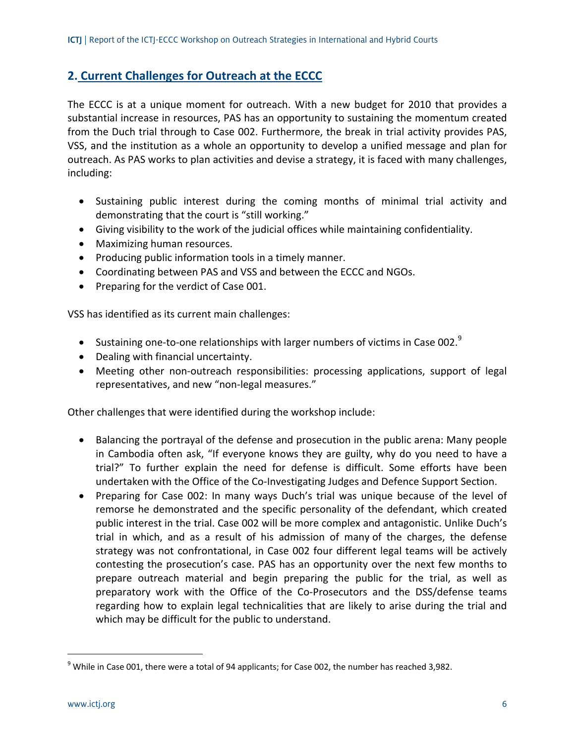# **2. Current Challenges for Outreach at the ECCC**

The ECCC is at a unique moment for outreach. With a new budget for 2010 that provides a substantial increase in resources, PAS has an opportunity to sustaining the momentum created from the Duch trial through to Case 002. Furthermore, the break in trial activity provides PAS, VSS, and the institution as a whole an opportunity to develop a unified message and plan for outreach. As PAS works to plan activities and devise a strategy, it is faced with many challenges, including:

- Sustaining public interest during the coming months of minimal trial activity and demonstrating that the court is "still working."
- Giving visibility to the work of the judicial offices while maintaining confidentiality.
- Maximizing human resources.
- Producing public information tools in a timely manner.
- Coordinating between PAS and VSS and between the ECCC and NGOs.
- Preparing for the verdict of Case 001.

VSS has identified as its current main challenges:

- Sustaining one-to-one relationships with larger numbers of victims in Case 002. $9$
- Dealing with financial uncertainty.
- Meeting other non-outreach responsibilities: processing applications, support of legal representatives, and new "non‐legal measures."

Other challenges that were identified during the workshop include:

- Balancing the portrayal of the defense and prosecution in the public arena: Many people in Cambodia often ask, "If everyone knows they are guilty, why do you need to have a trial?" To further explain the need for defense is difficult. Some efforts have been undertaken with the Office of the Co‐Investigating Judges and Defence Support Section.
- Preparing for Case 002: In many ways Duch's trial was unique because of the level of remorse he demonstrated and the specific personality of the defendant, which created public interest in the trial. Case 002 will be more complex and antagonistic. Unlike Duch's trial in which, and as a result of his admission of many of the charges, the defense strategy was not confrontational, in Case 002 four different legal teams will be actively contesting the prosecution's case. PAS has an opportunity over the next few months to prepare outreach material and begin preparing the public for the trial, as well as preparatory work with the Office of the Co‐Prosecutors and the DSS/defense teams regarding how to explain legal technicalities that are likely to arise during the trial and which may be difficult for the public to understand.

 $9$  While in Case 001, there were a total of 94 applicants; for Case 002, the number has reached 3,982.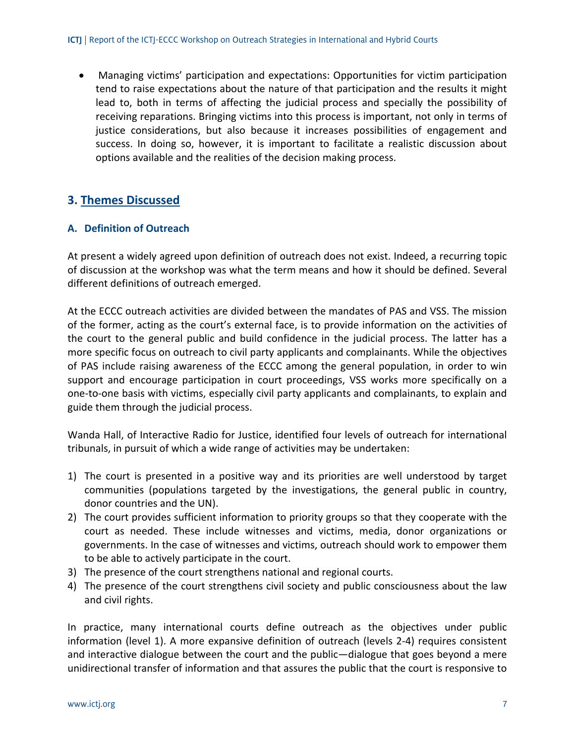• Managing victims' participation and expectations: Opportunities for victim participation tend to raise expectations about the nature of that participation and the results it might lead to, both in terms of affecting the judicial process and specially the possibility of receiving reparations. Bringing victims into this process is important, not only in terms of justice considerations, but also because it increases possibilities of engagement and success. In doing so, however, it is important to facilitate a realistic discussion about options available and the realities of the decision making process.

# **3. Themes Discussed**

## **A. Definition of Outreach**

At present a widely agreed upon definition of outreach does not exist. Indeed, a recurring topic of discussion at the workshop was what the term means and how it should be defined. Several different definitions of outreach emerged.

At the ECCC outreach activities are divided between the mandates of PAS and VSS. The mission of the former, acting as the court's external face, is to provide information on the activities of the court to the general public and build confidence in the judicial process. The latter has a more specific focus on outreach to civil party applicants and complainants. While the objectives of PAS include raising awareness of the ECCC among the general population, in order to win support and encourage participation in court proceedings, VSS works more specifically on a one‐to‐one basis with victims, especially civil party applicants and complainants, to explain and guide them through the judicial process.

Wanda Hall, of Interactive Radio for Justice, identified four levels of outreach for international tribunals, in pursuit of which a wide range of activities may be undertaken:

- 1) The court is presented in a positive way and its priorities are well understood by target communities (populations targeted by the investigations, the general public in country, donor countries and the UN).
- 2) The court provides sufficient information to priority groups so that they cooperate with the court as needed. These include witnesses and victims, media, donor organizations or governments. In the case of witnesses and victims, outreach should work to empower them to be able to actively participate in the court.
- 3) The presence of the court strengthens national and regional courts.
- 4) The presence of the court strengthens civil society and public consciousness about the law and civil rights.

In practice, many international courts define outreach as the objectives under public information (level 1). A more expansive definition of outreach (levels 2‐4) requires consistent and interactive dialogue between the court and the public—dialogue that goes beyond a mere unidirectional transfer of information and that assures the public that the court is responsive to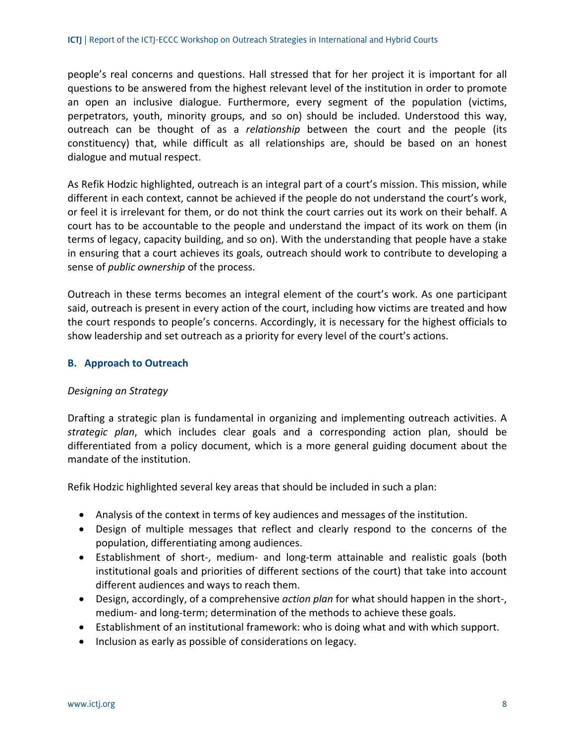people's real concerns and questions. Hall stressed that for her project it is important for all questions to be answered from the highest relevant level of the institution in order to promote an open an inclusive dialogue. Furthermore, every segment of the population (victims, perpetrators, youth, minority groups, and so on) should be included. Understood this way, outreach can be thought of as a *relationship* between the court and the people (its constituency) that, while difficult as all relationships are, should be based on an honest dialogue and mutual respect.

As Refik Hodzic highlighted, outreach is an integral part of a court's mission. This mission, while different in each context, cannot be achieved if the people do not understand the court's work, or feel it is irrelevant for them, or do not think the court carries out its work on their behalf. A court has to be accountable to the people and understand the impact of its work on them (in terms of legacy, capacity building, and so on). With the understanding that people have a stake in ensuring that a court achieves its goals, outreach should work to contribute to developing a sense of *public ownership* of the process.

Outreach in these terms becomes an integral element of the court's work. As one participant said, outreach is present in every action of the court, including how victims are treated and how the court responds to people's concerns. Accordingly, it is necessary for the highest officials to show leadership and set outreach as a priority for every level of the court's actions.

## **B. Approach to Outreach**

#### *Designing an Strategy*

Drafting a strategic plan is fundamental in organizing and implementing outreach activities. A *strategic plan*, which includes clear goals and a corresponding action plan, should be differentiated from a policy document, which is a more general guiding document about the mandate of the institution.

Refik Hodzic highlighted several key areas that should be included in such a plan:

- Analysis of the context in terms of key audiences and messages of the institution.
- Design of multiple messages that reflect and clearly respond to the concerns of the population, differentiating among audiences.
- Establishment of short‐, medium‐ and long‐term attainable and realistic goals (both institutional goals and priorities of different sections of the court) that take into account different audiences and ways to reach them.
- Design, accordingly, of a comprehensive *action plan* for what should happen in the short‐, medium- and long-term; determination of the methods to achieve these goals.
- Establishment of an institutional framework: who is doing what and with which support.
- Inclusion as early as possible of considerations on legacy.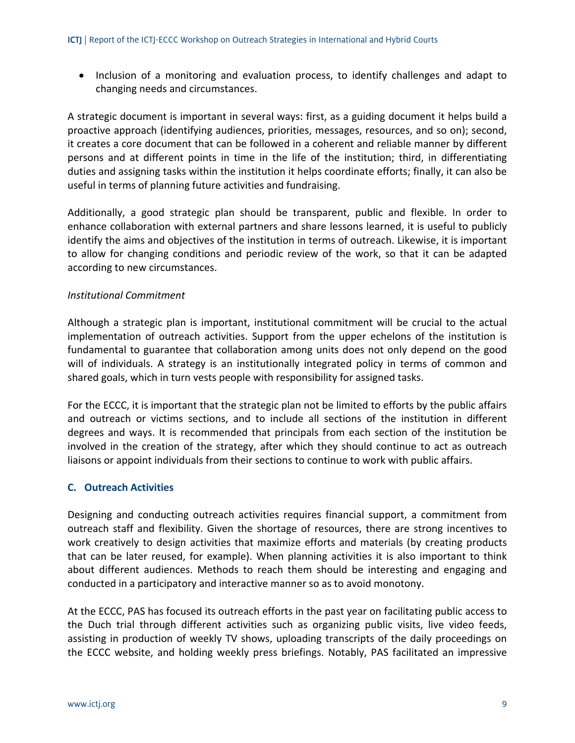• Inclusion of a monitoring and evaluation process, to identify challenges and adapt to changing needs and circumstances.

A strategic document is important in several ways: first, as a guiding document it helps build a proactive approach (identifying audiences, priorities, messages, resources, and so on); second, it creates a core document that can be followed in a coherent and reliable manner by different persons and at different points in time in the life of the institution; third, in differentiating duties and assigning tasks within the institution it helps coordinate efforts; finally, it can also be useful in terms of planning future activities and fundraising.

Additionally, a good strategic plan should be transparent, public and flexible. In order to enhance collaboration with external partners and share lessons learned, it is useful to publicly identify the aims and objectives of the institution in terms of outreach. Likewise, it is important to allow for changing conditions and periodic review of the work, so that it can be adapted according to new circumstances.

## *Institutional Commitment*

Although a strategic plan is important, institutional commitment will be crucial to the actual implementation of outreach activities. Support from the upper echelons of the institution is fundamental to guarantee that collaboration among units does not only depend on the good will of individuals. A strategy is an institutionally integrated policy in terms of common and shared goals, which in turn vests people with responsibility for assigned tasks.

For the ECCC, it is important that the strategic plan not be limited to efforts by the public affairs and outreach or victims sections, and to include all sections of the institution in different degrees and ways. It is recommended that principals from each section of the institution be involved in the creation of the strategy, after which they should continue to act as outreach liaisons or appoint individuals from their sections to continue to work with public affairs.

## **C. Outreach Activities**

Designing and conducting outreach activities requires financial support, a commitment from outreach staff and flexibility. Given the shortage of resources, there are strong incentives to work creatively to design activities that maximize efforts and materials (by creating products that can be later reused, for example). When planning activities it is also important to think about different audiences. Methods to reach them should be interesting and engaging and conducted in a participatory and interactive manner so as to avoid monotony.

At the ECCC, PAS has focused its outreach efforts in the past year on facilitating public access to the Duch trial through different activities such as organizing public visits, live video feeds, assisting in production of weekly TV shows, uploading transcripts of the daily proceedings on the ECCC website, and holding weekly press briefings. Notably, PAS facilitated an impressive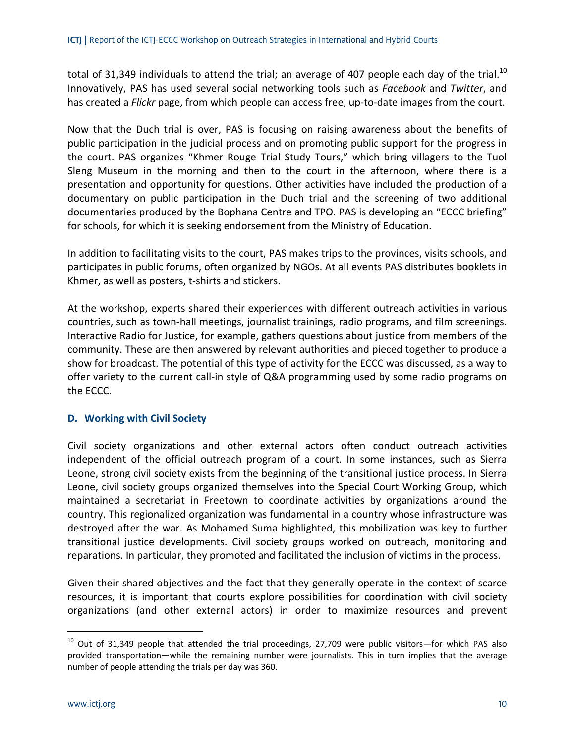total of 31,349 individuals to attend the trial; an average of 407 people each day of the trial.<sup>10</sup> Innovatively, PAS has used several social networking tools such as *Facebook* and *Twitter*, and has created a *Flickr* page, from which people can access free, up-to-date images from the court.

Now that the Duch trial is over, PAS is focusing on raising awareness about the benefits of public participation in the judicial process and on promoting public support for the progress in the court. PAS organizes "Khmer Rouge Trial Study Tours," which bring villagers to the Tuol Sleng Museum in the morning and then to the court in the afternoon, where there is a presentation and opportunity for questions. Other activities have included the production of a documentary on public participation in the Duch trial and the screening of two additional documentaries produced by the Bophana Centre and TPO. PAS is developing an "ECCC briefing" for schools, for which it is seeking endorsement from the Ministry of Education.

In addition to facilitating visits to the court, PAS makes trips to the provinces, visits schools, and participates in public forums, often organized by NGOs. At all events PAS distributes booklets in Khmer, as well as posters, t‐shirts and stickers.

At the workshop, experts shared their experiences with different outreach activities in various countries, such as town‐hall meetings, journalist trainings, radio programs, and film screenings. Interactive Radio for Justice, for example, gathers questions about justice from members of the community. These are then answered by relevant authorities and pieced together to produce a show for broadcast. The potential of this type of activity for the ECCC was discussed, as a way to offer variety to the current call‐in style of Q&A programming used by some radio programs on the ECCC.

## **D. Working with Civil Society**

Civil society organizations and other external actors often conduct outreach activities independent of the official outreach program of a court. In some instances, such as Sierra Leone, strong civil society exists from the beginning of the transitional justice process. In Sierra Leone, civil society groups organized themselves into the Special Court Working Group, which maintained a secretariat in Freetown to coordinate activities by organizations around the country. This regionalized organization was fundamental in a country whose infrastructure was destroyed after the war. As Mohamed Suma highlighted, this mobilization was key to further transitional justice developments. Civil society groups worked on outreach, monitoring and reparations. In particular, they promoted and facilitated the inclusion of victims in the process.

Given their shared objectives and the fact that they generally operate in the context of scarce resources, it is important that courts explore possibilities for coordination with civil society organizations (and other external actors) in order to maximize resources and prevent

-

 $10$  Out of 31,349 people that attended the trial proceedings, 27,709 were public visitors—for which PAS also provided transportation—while the remaining number were journalists. This in turn implies that the average number of people attending the trials per day was 360.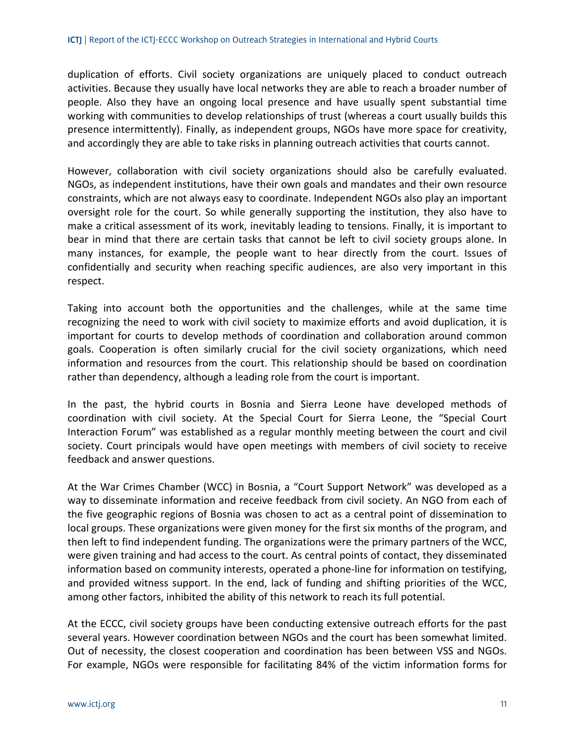duplication of efforts. Civil society organizations are uniquely placed to conduct outreach activities. Because they usually have local networks they are able to reach a broader number of people. Also they have an ongoing local presence and have usually spent substantial time working with communities to develop relationships of trust (whereas a court usually builds this presence intermittently). Finally, as independent groups, NGOs have more space for creativity, and accordingly they are able to take risks in planning outreach activities that courts cannot.

However, collaboration with civil society organizations should also be carefully evaluated. NGOs, as independent institutions, have their own goals and mandates and their own resource constraints, which are not always easy to coordinate. Independent NGOs also play an important oversight role for the court. So while generally supporting the institution, they also have to make a critical assessment of its work, inevitably leading to tensions. Finally, it is important to bear in mind that there are certain tasks that cannot be left to civil society groups alone. In many instances, for example, the people want to hear directly from the court. Issues of confidentially and security when reaching specific audiences, are also very important in this respect.

Taking into account both the opportunities and the challenges, while at the same time recognizing the need to work with civil society to maximize efforts and avoid duplication, it is important for courts to develop methods of coordination and collaboration around common goals. Cooperation is often similarly crucial for the civil society organizations, which need information and resources from the court. This relationship should be based on coordination rather than dependency, although a leading role from the court is important.

In the past, the hybrid courts in Bosnia and Sierra Leone have developed methods of coordination with civil society. At the Special Court for Sierra Leone, the "Special Court Interaction Forum" was established as a regular monthly meeting between the court and civil society. Court principals would have open meetings with members of civil society to receive feedback and answer questions.

At the War Crimes Chamber (WCC) in Bosnia, a "Court Support Network" was developed as a way to disseminate information and receive feedback from civil society. An NGO from each of the five geographic regions of Bosnia was chosen to act as a central point of dissemination to local groups. These organizations were given money for the first six months of the program, and then left to find independent funding. The organizations were the primary partners of the WCC, were given training and had access to the court. As central points of contact, they disseminated information based on community interests, operated a phone-line for information on testifying, and provided witness support. In the end, lack of funding and shifting priorities of the WCC, among other factors, inhibited the ability of this network to reach its full potential.

At the ECCC, civil society groups have been conducting extensive outreach efforts for the past several years. However coordination between NGOs and the court has been somewhat limited. Out of necessity, the closest cooperation and coordination has been between VSS and NGOs. For example, NGOs were responsible for facilitating 84% of the victim information forms for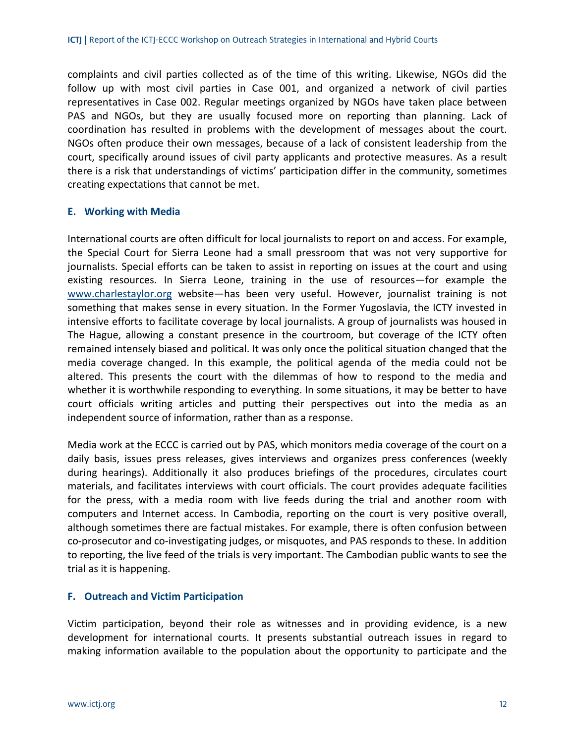complaints and civil parties collected as of the time of this writing. Likewise, NGOs did the follow up with most civil parties in Case 001, and organized a network of civil parties representatives in Case 002. Regular meetings organized by NGOs have taken place between PAS and NGOs, but they are usually focused more on reporting than planning. Lack of coordination has resulted in problems with the development of messages about the court. NGOs often produce their own messages, because of a lack of consistent leadership from the court, specifically around issues of civil party applicants and protective measures. As a result there is a risk that understandings of victims' participation differ in the community, sometimes creating expectations that cannot be met.

#### **E. Working with Media**

International courts are often difficult for local journalists to report on and access. For example, the Special Court for Sierra Leone had a small pressroom that was not very supportive for journalists. Special efforts can be taken to assist in reporting on issues at the court and using existing resources. In Sierra Leone, training in the use of resources—for example the www.charlestaylor.org website—has been very useful. However, journalist training is not something that makes sense in every situation. In the Former Yugoslavia, the ICTY invested in intensive efforts to facilitate coverage by local journalists. A group of journalists was housed in The Hague, allowing a constant presence in the courtroom, but coverage of the ICTY often remained intensely biased and political. It was only once the political situation changed that the media coverage changed. In this example, the political agenda of the media could not be altered. This presents the court with the dilemmas of how to respond to the media and whether it is worthwhile responding to everything. In some situations, it may be better to have court officials writing articles and putting their perspectives out into the media as an independent source of information, rather than as a response.

Media work at the ECCC is carried out by PAS, which monitors media coverage of the court on a daily basis, issues press releases, gives interviews and organizes press conferences (weekly during hearings). Additionally it also produces briefings of the procedures, circulates court materials, and facilitates interviews with court officials. The court provides adequate facilities for the press, with a media room with live feeds during the trial and another room with computers and Internet access. In Cambodia, reporting on the court is very positive overall, although sometimes there are factual mistakes. For example, there is often confusion between co‐prosecutor and co‐investigating judges, or misquotes, and PAS responds to these. In addition to reporting, the live feed of the trials is very important. The Cambodian public wants to see the trial as it is happening.

## **F. Outreach and Victim Participation**

Victim participation, beyond their role as witnesses and in providing evidence, is a new development for international courts. It presents substantial outreach issues in regard to making information available to the population about the opportunity to participate and the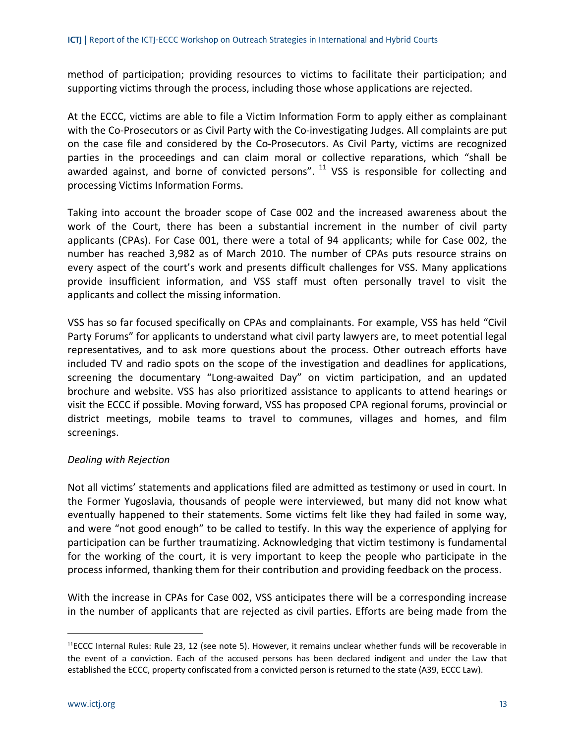method of participation; providing resources to victims to facilitate their participation; and supporting victims through the process, including those whose applications are rejected.

At the ECCC, victims are able to file a Victim Information Form to apply either as complainant with the Co-Prosecutors or as Civil Party with the Co-investigating Judges. All complaints are put on the case file and considered by the Co‐Prosecutors. As Civil Party, victims are recognized parties in the proceedings and can claim moral or collective reparations, which "shall be awarded against, and borne of convicted persons".  $^{11}$  VSS is responsible for collecting and processing Victims Information Forms.

Taking into account the broader scope of Case 002 and the increased awareness about the work of the Court, there has been a substantial increment in the number of civil party applicants (CPAs). For Case 001, there were a total of 94 applicants; while for Case 002, the number has reached 3,982 as of March 2010. The number of CPAs puts resource strains on every aspect of the court's work and presents difficult challenges for VSS. Many applications provide insufficient information, and VSS staff must often personally travel to visit the applicants and collect the missing information.

VSS has so far focused specifically on CPAs and complainants. For example, VSS has held "Civil Party Forums" for applicants to understand what civil party lawyers are, to meet potential legal representatives, and to ask more questions about the process. Other outreach efforts have included TV and radio spots on the scope of the investigation and deadlines for applications, screening the documentary "Long-awaited Day" on victim participation, and an updated brochure and website. VSS has also prioritized assistance to applicants to attend hearings or visit the ECCC if possible. Moving forward, VSS has proposed CPA regional forums, provincial or district meetings, mobile teams to travel to communes, villages and homes, and film screenings.

## *Dealing with Rejection*

Not all victims' statements and applications filed are admitted as testimony or used in court. In the Former Yugoslavia, thousands of people were interviewed, but many did not know what eventually happened to their statements. Some victims felt like they had failed in some way, and were "not good enough" to be called to testify. In this way the experience of applying for participation can be further traumatizing. Acknowledging that victim testimony is fundamental for the working of the court, it is very important to keep the people who participate in the process informed, thanking them for their contribution and providing feedback on the process.

With the increase in CPAs for Case 002, VSS anticipates there will be a corresponding increase in the number of applicants that are rejected as civil parties. Efforts are being made from the

 $<sup>11</sup>ECCC$  Internal Rules: Rule 23, 12 (see note 5). However, it remains unclear whether funds will be recoverable in</sup> the event of a conviction. Each of the accused persons has been declared indigent and under the Law that established the ECCC, property confiscated from a convicted person is returned to the state (A39, ECCC Law).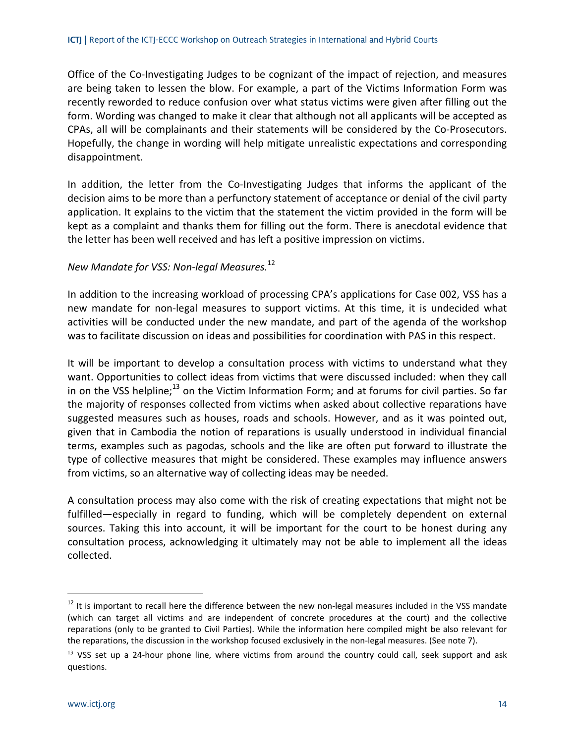Office of the Co-Investigating Judges to be cognizant of the impact of rejection, and measures are being taken to lessen the blow. For example, a part of the Victims Information Form was recently reworded to reduce confusion over what status victims were given after filling out the form. Wording was changed to make it clear that although not all applicants will be accepted as CPAs, all will be complainants and their statements will be considered by the Co‐Prosecutors. Hopefully, the change in wording will help mitigate unrealistic expectations and corresponding disappointment.

In addition, the letter from the Co-Investigating Judges that informs the applicant of the decision aims to be more than a perfunctory statement of acceptance or denial of the civil party application. It explains to the victim that the statement the victim provided in the form will be kept as a complaint and thanks them for filling out the form. There is anecdotal evidence that the letter has been well received and has left a positive impression on victims.

## *New Mandate for VSS: Non‐legal Measures.*<sup>12</sup>

In addition to the increasing workload of processing CPA's applications for Case 002, VSS has a new mandate for non‐legal measures to support victims. At this time, it is undecided what activities will be conducted under the new mandate, and part of the agenda of the workshop was to facilitate discussion on ideas and possibilities for coordination with PAS in this respect.

It will be important to develop a consultation process with victims to understand what they want. Opportunities to collect ideas from victims that were discussed included: when they call in on the VSS helpline; $^{13}$  on the Victim Information Form; and at forums for civil parties. So far the majority of responses collected from victims when asked about collective reparations have suggested measures such as houses, roads and schools. However, and as it was pointed out, given that in Cambodia the notion of reparations is usually understood in individual financial terms, examples such as pagodas, schools and the like are often put forward to illustrate the type of collective measures that might be considered. These examples may influence answers from victims, so an alternative way of collecting ideas may be needed.

A consultation process may also come with the risk of creating expectations that might not be fulfilled—especially in regard to funding, which will be completely dependent on external sources. Taking this into account, it will be important for the court to be honest during any consultation process, acknowledging it ultimately may not be able to implement all the ideas collected.

 $12$  It is important to recall here the difference between the new non-legal measures included in the VSS mandate (which can target all victims and are independent of concrete procedures at the court) and the collective reparations (only to be granted to Civil Parties). While the information here compiled might be also relevant for the reparations, the discussion in the workshop focused exclusively in the non-legal measures. (See note 7).

 $13$  VSS set up a 24-hour phone line, where victims from around the country could call, seek support and ask questions.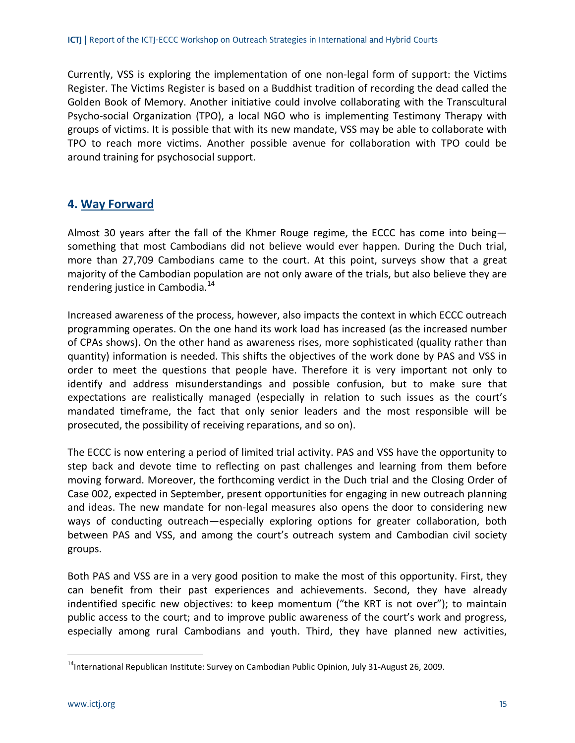Currently, VSS is exploring the implementation of one non‐legal form of support: the Victims Register. The Victims Register is based on a Buddhist tradition of recording the dead called the Golden Book of Memory. Another initiative could involve collaborating with the Transcultural Psycho-social Organization (TPO), a local NGO who is implementing Testimony Therapy with groups of victims. It is possible that with its new mandate, VSS may be able to collaborate with TPO to reach more victims. Another possible avenue for collaboration with TPO could be around training for psychosocial support.

## **4. Way Forward**

Almost 30 years after the fall of the Khmer Rouge regime, the ECCC has come into being something that most Cambodians did not believe would ever happen. During the Duch trial, more than 27,709 Cambodians came to the court. At this point, surveys show that a great majority of the Cambodian population are not only aware of the trials, but also believe they are rendering justice in Cambodia.<sup>14</sup>

Increased awareness of the process, however, also impacts the context in which ECCC outreach programming operates. On the one hand its work load has increased (as the increased number of CPAs shows). On the other hand as awareness rises, more sophisticated (quality rather than quantity) information is needed. This shifts the objectives of the work done by PAS and VSS in order to meet the questions that people have. Therefore it is very important not only to identify and address misunderstandings and possible confusion, but to make sure that expectations are realistically managed (especially in relation to such issues as the court's mandated timeframe, the fact that only senior leaders and the most responsible will be prosecuted, the possibility of receiving reparations, and so on).

The ECCC is now entering a period of limited trial activity. PAS and VSS have the opportunity to step back and devote time to reflecting on past challenges and learning from them before moving forward. Moreover, the forthcoming verdict in the Duch trial and the Closing Order of Case 002, expected in September, present opportunities for engaging in new outreach planning and ideas. The new mandate for non-legal measures also opens the door to considering new ways of conducting outreach—especially exploring options for greater collaboration, both between PAS and VSS, and among the court's outreach system and Cambodian civil society groups.

Both PAS and VSS are in a very good position to make the most of this opportunity. First, they can benefit from their past experiences and achievements. Second, they have already indentified specific new objectives: to keep momentum ("the KRT is not over"); to maintain public access to the court; and to improve public awareness of the court's work and progress, especially among rural Cambodians and youth. Third, they have planned new activities,

<sup>&</sup>lt;sup>14</sup>International Republican Institute: Survey on Cambodian Public Opinion, July 31-August 26, 2009.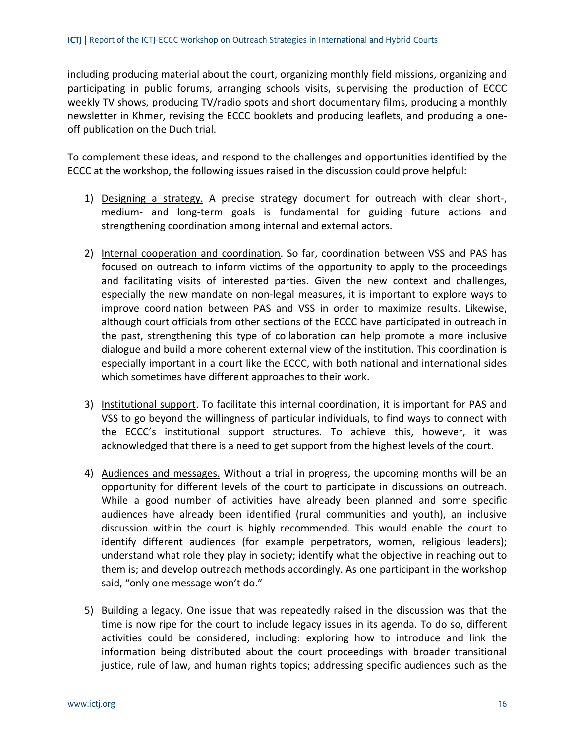including producing material about the court, organizing monthly field missions, organizing and participating in public forums, arranging schools visits, supervising the production of ECCC weekly TV shows, producing TV/radio spots and short documentary films, producing a monthly newsletter in Khmer, revising the ECCC booklets and producing leaflets, and producing a one‐ off publication on the Duch trial.

To complement these ideas, and respond to the challenges and opportunities identified by the ECCC at the workshop, the following issues raised in the discussion could prove helpful:

- 1) Designing a strategy. A precise strategy document for outreach with clear short‐, medium‐ and long‐term goals is fundamental for guiding future actions and strengthening coordination among internal and external actors.
- 2) Internal cooperation and coordination. So far, coordination between VSS and PAS has focused on outreach to inform victims of the opportunity to apply to the proceedings and facilitating visits of interested parties. Given the new context and challenges, especially the new mandate on non‐legal measures, it is important to explore ways to improve coordination between PAS and VSS in order to maximize results. Likewise, although court officials from other sections of the ECCC have participated in outreach in the past, strengthening this type of collaboration can help promote a more inclusive dialogue and build a more coherent external view of the institution. This coordination is especially important in a court like the ECCC, with both national and international sides which sometimes have different approaches to their work.
- 3) Institutional support. To facilitate this internal coordination, it is important for PAS and VSS to go beyond the willingness of particular individuals, to find ways to connect with the ECCC's institutional support structures. To achieve this, however, it was acknowledged that there is a need to get support from the highest levels of the court.
- 4) Audiences and messages. Without a trial in progress, the upcoming months will be an opportunity for different levels of the court to participate in discussions on outreach. While a good number of activities have already been planned and some specific audiences have already been identified (rural communities and youth), an inclusive discussion within the court is highly recommended. This would enable the court to identify different audiences (for example perpetrators, women, religious leaders); understand what role they play in society; identify what the objective in reaching out to them is; and develop outreach methods accordingly. As one participant in the workshop said, "only one message won't do."
- 5) Building a legacy. One issue that was repeatedly raised in the discussion was that the time is now ripe for the court to include legacy issues in its agenda. To do so, different activities could be considered, including: exploring how to introduce and link the information being distributed about the court proceedings with broader transitional justice, rule of law, and human rights topics; addressing specific audiences such as the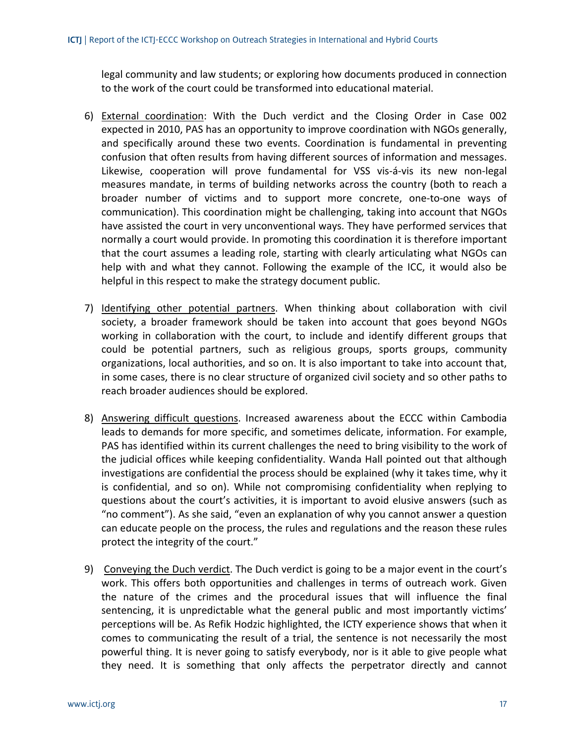legal community and law students; or exploring how documents produced in connection to the work of the court could be transformed into educational material.

- 6) External coordination: With the Duch verdict and the Closing Order in Case 002 expected in 2010, PAS has an opportunity to improve coordination with NGOs generally, and specifically around these two events. Coordination is fundamental in preventing confusion that often results from having different sources of information and messages. Likewise, cooperation will prove fundamental for VSS vis‐á‐vis its new non‐legal measures mandate, in terms of building networks across the country (both to reach a broader number of victims and to support more concrete, one‐to‐one ways of communication). This coordination might be challenging, taking into account that NGOs have assisted the court in very unconventional ways. They have performed services that normally a court would provide. In promoting this coordination it is therefore important that the court assumes a leading role, starting with clearly articulating what NGOs can help with and what they cannot. Following the example of the ICC, it would also be helpful in this respect to make the strategy document public.
- 7) Identifying other potential partners. When thinking about collaboration with civil society, a broader framework should be taken into account that goes beyond NGOs working in collaboration with the court, to include and identify different groups that could be potential partners, such as religious groups, sports groups, community organizations, local authorities, and so on. It is also important to take into account that, in some cases, there is no clear structure of organized civil society and so other paths to reach broader audiences should be explored.
- 8) Answering difficult questions. Increased awareness about the ECCC within Cambodia leads to demands for more specific, and sometimes delicate, information. For example, PAS has identified within its current challenges the need to bring visibility to the work of the judicial offices while keeping confidentiality. Wanda Hall pointed out that although investigations are confidential the process should be explained (why it takes time, why it is confidential, and so on). While not compromising confidentiality when replying to questions about the court's activities, it is important to avoid elusive answers (such as "no comment"). As she said, "even an explanation of why you cannot answer a question can educate people on the process, the rules and regulations and the reason these rules protect the integrity of the court."
- 9) Conveying the Duch verdict. The Duch verdict is going to be a major event in the court's work. This offers both opportunities and challenges in terms of outreach work. Given the nature of the crimes and the procedural issues that will influence the final sentencing, it is unpredictable what the general public and most importantly victims' perceptions will be. As Refik Hodzic highlighted, the ICTY experience shows that when it comes to communicating the result of a trial, the sentence is not necessarily the most powerful thing. It is never going to satisfy everybody, nor is it able to give people what they need. It is something that only affects the perpetrator directly and cannot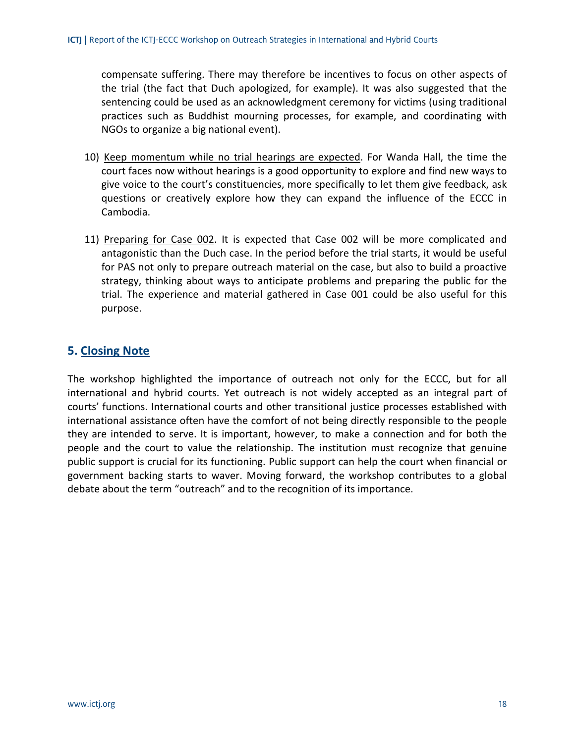compensate suffering. There may therefore be incentives to focus on other aspects of the trial (the fact that Duch apologized, for example). It was also suggested that the sentencing could be used as an acknowledgment ceremony for victims (using traditional practices such as Buddhist mourning processes, for example, and coordinating with NGOs to organize a big national event).

- 10) Keep momentum while no trial hearings are expected. For Wanda Hall, the time the court faces now without hearings is a good opportunity to explore and find new ways to give voice to the court's constituencies, more specifically to let them give feedback, ask questions or creatively explore how they can expand the influence of the ECCC in Cambodia.
- 11) Preparing for Case 002. It is expected that Case 002 will be more complicated and antagonistic than the Duch case. In the period before the trial starts, it would be useful for PAS not only to prepare outreach material on the case, but also to build a proactive strategy, thinking about ways to anticipate problems and preparing the public for the trial. The experience and material gathered in Case 001 could be also useful for this purpose.

## **5. Closing Note**

The workshop highlighted the importance of outreach not only for the ECCC, but for all international and hybrid courts. Yet outreach is not widely accepted as an integral part of courts' functions. International courts and other transitional justice processes established with international assistance often have the comfort of not being directly responsible to the people they are intended to serve. It is important, however, to make a connection and for both the people and the court to value the relationship. The institution must recognize that genuine public support is crucial for its functioning. Public support can help the court when financial or government backing starts to waver. Moving forward, the workshop contributes to a global debate about the term "outreach" and to the recognition of its importance.